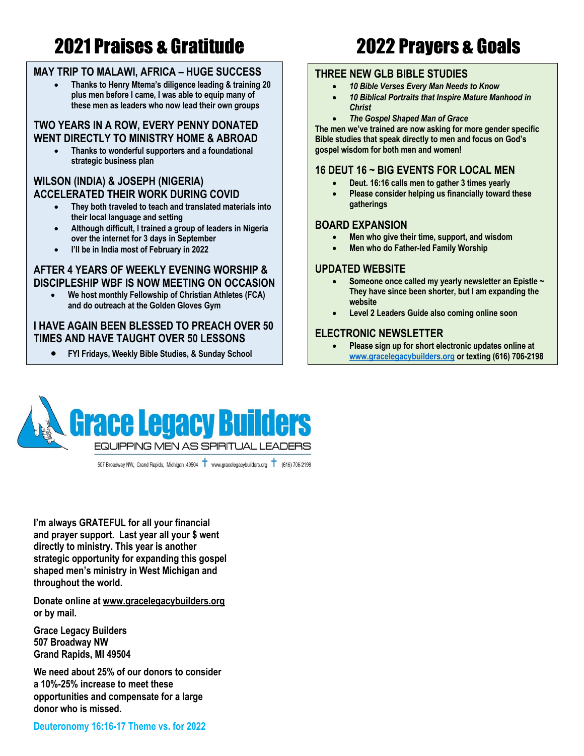# 2021 Praises & Gratitude 2022 Prayers & Goals

### **MAY TRIP TO MALAWI, AFRICA – HUGE SUCCESS**

• **Thanks to Henry Mtema's diligence leading & training 20 plus men before I came, I was able to equip many of these men as leaders who now lead their own groups**

### **TWO YEARS IN A ROW, EVERY PENNY DONATED WENT DIRECTLY TO MINISTRY HOME & ABROAD**

• **Thanks to wonderful supporters and a foundational strategic business plan**

### **WILSON (INDIA) & JOSEPH (NIGERIA) ACCELERATED THEIR WORK DURING COVID**

- **They both traveled to teach and translated materials into their local language and setting**
- **Although difficult, I trained a group of leaders in Nigeria over the internet for 3 days in September**
- **I'll be in India most of February in 2022**

#### **AFTER 4 YEARS OF WEEKLY EVENING WORSHIP & DISCIPLESHIP WBF IS NOW MEETING ON OCCASION**

• **We host monthly Fellowship of Christian Athletes (FCA) and do outreach at the Golden Gloves Gym**

### **I HAVE AGAIN BEEN BLESSED TO PREACH OVER 50 TIMES AND HAVE TAUGHT OVER 50 LESSONS**

• **FYI Fridays, Weekly Bible Studies, & Sunday School**

#### **THREE NEW GLB BIBLE STUDIES**

- *10 Bible Verses Every Man Needs to Know*
- *10 Biblical Portraits that Inspire Mature Manhood in Christ*
- *The Gospel Shaped Man of Grace*

**The men we've trained are now asking for more gender specific Bible studies that speak directly to men and focus on God's gospel wisdom for both men and women!**

### **16 DEUT 16 ~ BIG EVENTS FOR LOCAL MEN**

- **Deut. 16:16 calls men to gather 3 times yearly**
- **Please consider helping us financially toward these gatherings**

#### **BOARD EXPANSION**

- **Men who give their time, support, and wisdom**
- **Men who do Father-led Family Worship**

#### **UPDATED WEBSITE**

- **Someone once called my yearly newsletter an Epistle ~ They have since been shorter, but I am expanding the website**
- **Level 2 Leaders Guide also coming online soon**

### **ELECTRONIC NEWSLETTER**

• **Please sign up for short electronic updates online at www.gracelegacybuilders.org or texting (616) 706-2198 or on the website www.gracelegacybuilders.org**



507 Broadway NW, Grand Rapids, Michigan 49504 T www.gracelegacybuilders.org T (616) 706-2198

**I'm always GRATEFUL for all your financial and prayer support. Last year all your \$ went directly to ministry. This year is another strategic opportunity for expanding this gospel shaped men's ministry in West Michigan and throughout the world.** 

**Donate online at www.gracelegacybuilders.org or by mail.**

**Grace Legacy Builders 507 Broadway NW Grand Rapids, MI 49504**

**We need about 25% of our donors to consider a 10%-25% increase to meet these opportunities and compensate for a large donor who is missed.**

**Deuteronomy 16:16-17 Theme vs. for 2022**